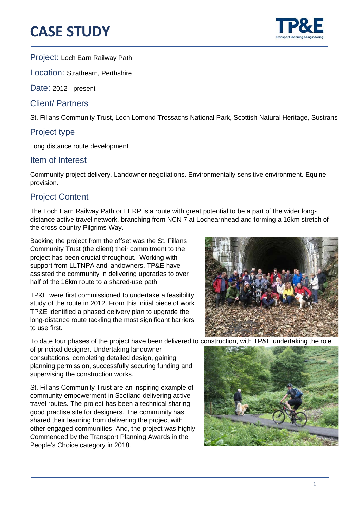# **CASE STUDY**



֦

Project: Loch Earn Railway Path

Location: Strathearn, Perthshire

Date: 2012 - present

Client/ Partners

St. Fillans Community Trust, Loch Lomond Trossachs National Park, Scottish Natural Heritage, Sustrans

### Project type

Long distance route development

#### Item of Interest

Community project delivery. Landowner negotiations. Environmentally sensitive environment. Equine provision.

## Project Content

The Loch Earn Railway Path or LERP is a route with great potential to be a part of the wider longdistance active travel network, branching from NCN 7 at Lochearnhead and forming a 16km stretch of the cross-country Pilgrims Way.

Backing the project from the offset was the St. Fillans Community Trust (the client) their commitment to the project has been crucial throughout. Working with support from LLTNPA and landowners, TP&E have assisted the community in delivering upgrades to over half of the 16km route to a shared-use path.

TP&E were first commissioned to undertake a feasibility study of the route in 2012. From this initial piece of work TP&E identified a phased delivery plan to upgrade the long-distance route tackling the most significant barriers to use first.

To date four phases of the project have been delivered to construction, with TP&E undertaking the role

of principal designer. Undertaking landowner consultations, completing detailed design, gaining planning permission, successfully securing funding and supervising the construction works.

St. Fillans Community Trust are an inspiring example of community empowerment in Scotland delivering active travel routes. The project has been a technical sharing good practise site for designers. The community has shared their learning from delivering the project with other engaged communities. And, the project was highly Commended by the Transport Planning Awards in the People's Choice category in 2018.